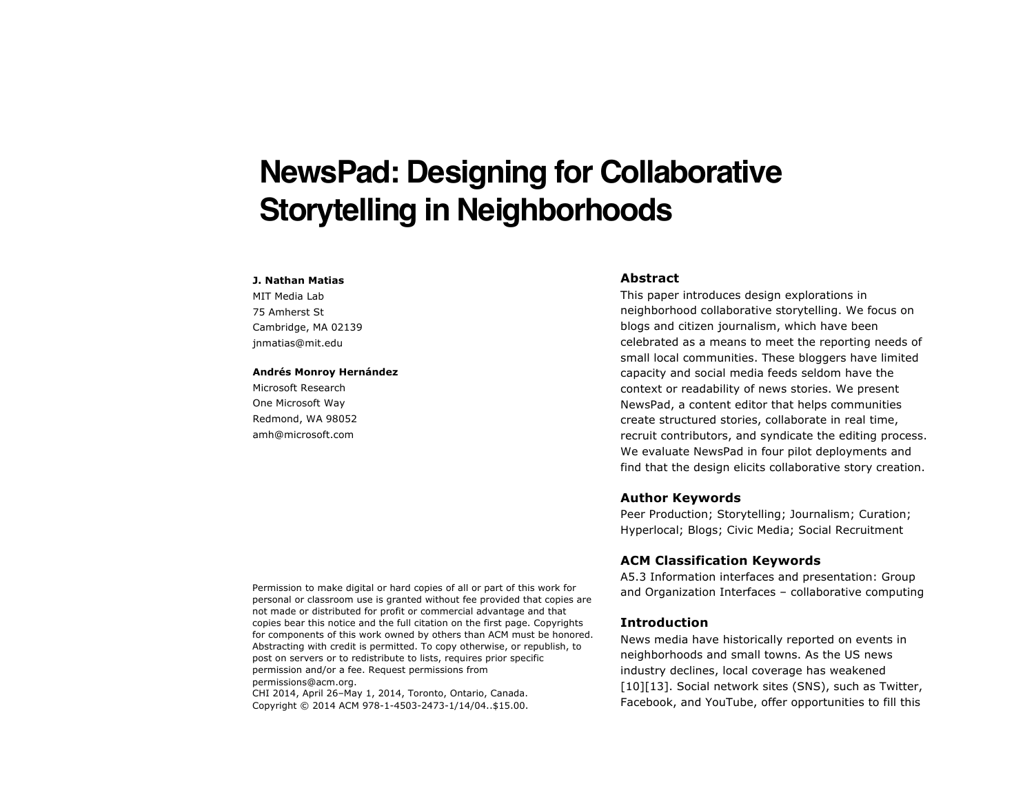# **NewsPad: Designing for Collaborative Storytelling in Neighborhoods**

#### **J. Nathan Matias**

MIT Media Lab 75 Amherst St Cambridge, MA 02139 jnmatias@mit.edu

#### **Andrés Monroy Hernández**

Microsoft Research One Microsoft Way Redmond, WA 98052 amh@microsoft.com

# **Abstract**

This paper introduces design explorations in neighborhood collaborative storytelling. We focus on blogs and citizen journalism, which have been celebrated as a means to meet the reporting needs of small local communities. These bloggers have limited capacity and social media feeds seldom have the context or readability of news stories. We present NewsPad, a content editor that helps communities create structured stories, collaborate in real time, recruit contributors, and syndicate the editing process. We evaluate NewsPad in four pilot deployments and find that the design elicits collaborative story creation.

# **Author Keywords**

Peer Production; Storytelling; Journalism; Curation; Hyperlocal; Blogs; Civic Media; Social Recruitment

# **ACM Classification Keywords**

A5.3 Information interfaces and presentation: Group and Organization Interfaces – collaborative computing

# **Introduction**

News media have historically reported on events in neighborhoods and small towns. As the US news industry declines, local coverage has weakened [10][13]. Social network sites (SNS), such as Twitter, Facebook, and YouTube, offer opportunities to fill this

Permission to make digital or hard copies of all or part of this work for personal or classroom use is granted without fee provided that copies are not made or distributed for profit or commercial advantage and that copies bear this notice and the full citation on the first page. Copyrights for components of this work owned by others than ACM must be honored. Abstracting with credit is permitted. To copy otherwise, or republish, to post on servers or to redistribute to lists, requires prior specific permission and/or a fee. Request permissions from permissions@acm.org.

CHI 2014, April 26–May 1, 2014, Toronto, Ontario, Canada. Copyright © 2014 ACM 978-1-4503-2473-1/14/04..\$15.00.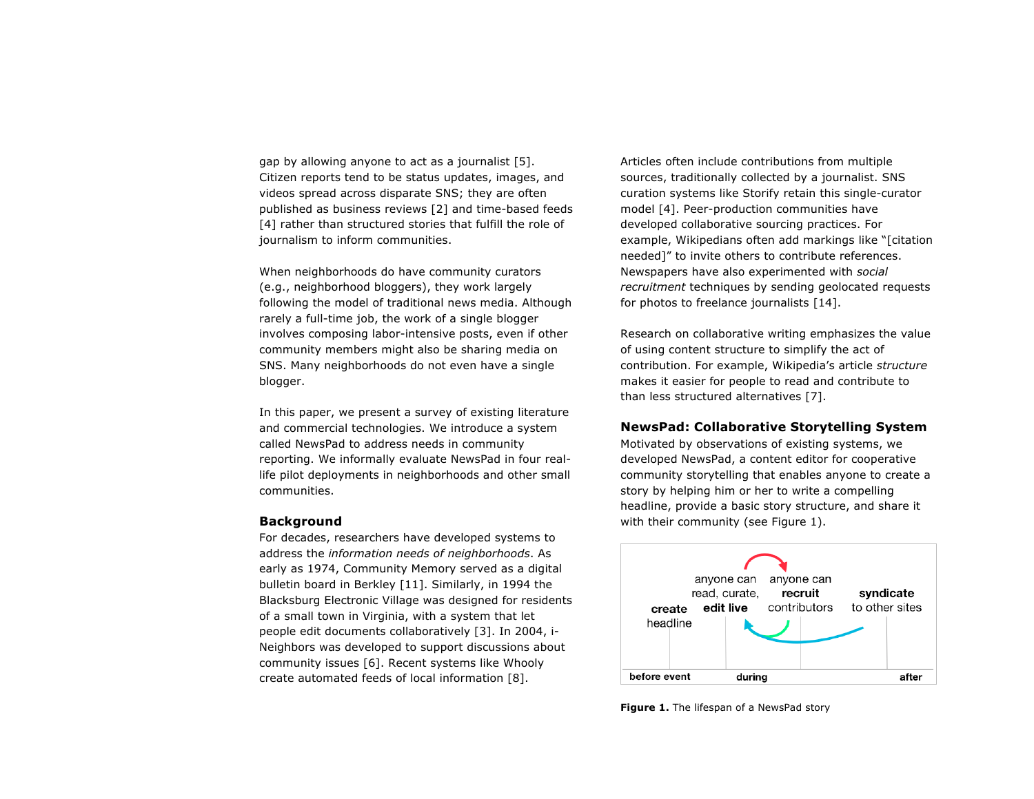gap by allowing anyone to act as a journalist [5]. Citizen reports tend to be status updates, images, and videos spread across disparate SNS; they are often published as business reviews [2] and time-based feeds [4] rather than structured stories that fulfill the role of journalism to inform communities.

When neighborhoods do have community curators (e.g., neighborhood bloggers), they work largely following the model of traditional news media. Although rarely a full-time job, the work of a single blogger involves composing labor-intensive posts, even if other community members might also be sharing media on SNS. Many neighborhoods do not even have a single blogger.

In this paper, we present a survey of existing literature and commercial technologies. We introduce a system called NewsPad to address needs in community reporting. We informally evaluate NewsPad in four reallife pilot deployments in neighborhoods and other small communities.

### **Background**

For decades, researchers have developed systems to address the *information needs of neighborhoods*. As early as 1974, Community Memory served as a digital bulletin board in Berkley [11]. Similarly, in 1994 the Blacksburg Electronic Village was designed for residents of a small town in Virginia, with a system that let people edit documents collaboratively [3]. In 2004, i-Neighbors was developed to support discussions about community issues [6]. Recent systems like Whooly create automated feeds of local information [8].

Articles often include contributions from multiple sources, traditionally collected by a journalist. SNS curation systems like Storify retain this single-curator model [4]. Peer-production communities have developed collaborative sourcing practices. For example, Wikipedians often add markings like "[citation needed]" to invite others to contribute references. Newspapers have also experimented with *social recruitment* techniques by sending geolocated requests for photos to freelance journalists [14].

Research on collaborative writing emphasizes the value of using content structure to simplify the act of contribution. For example, Wikipedia's article *structure* makes it easier for people to read and contribute to than less structured alternatives [7].

# **NewsPad: Collaborative Storytelling System**

Motivated by observations of existing systems, we developed NewsPad, a content editor for cooperative community storytelling that enables anyone to create a story by helping him or her to write a compelling headline, provide a basic story structure, and share it with their community (see Figure 1).



**Figure 1.** The lifespan of a NewsPad story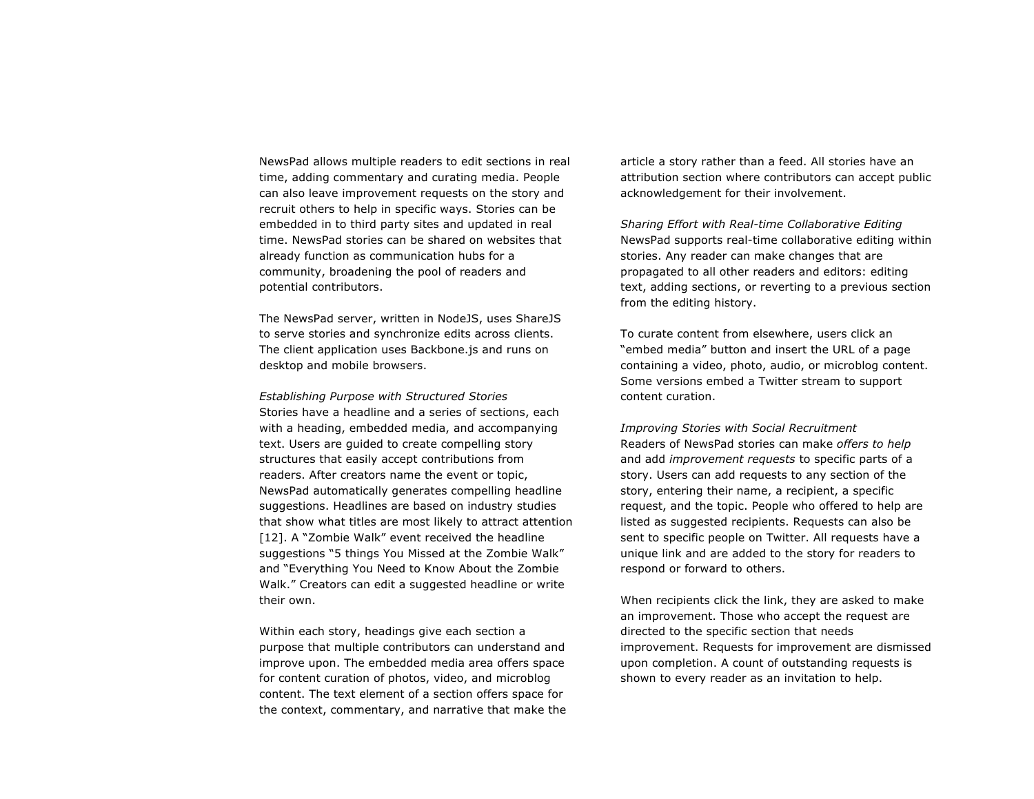NewsPad allows multiple readers to edit sections in real time, adding commentary and curating media. People can also leave improvement requests on the story and recruit others to help in specific ways. Stories can be embedded in to third party sites and updated in real time. NewsPad stories can be shared on websites that already function as communication hubs for a community, broadening the pool of readers and potential contributors.

The NewsPad server, written in NodeJS, uses ShareJS to serve stories and synchronize edits across clients. The client application uses Backbone.js and runs on desktop and mobile browsers.

*Establishing Purpose with Structured Stories* Stories have a headline and a series of sections, each with a heading, embedded media, and accompanying text. Users are guided to create compelling story structures that easily accept contributions from readers. After creators name the event or topic, NewsPad automatically generates compelling headline suggestions. Headlines are based on industry studies that show what titles are most likely to attract attention [12]. A "Zombie Walk" event received the headline suggestions "5 things You Missed at the Zombie Walk" and "Everything You Need to Know About the Zombie Walk." Creators can edit a suggested headline or write their own.

Within each story, headings give each section a purpose that multiple contributors can understand and improve upon. The embedded media area offers space for content curation of photos, video, and microblog content. The text element of a section offers space for the context, commentary, and narrative that make the article a story rather than a feed. All stories have an attribution section where contributors can accept public acknowledgement for their involvement.

*Sharing Effort with Real-time Collaborative Editing* NewsPad supports real-time collaborative editing within stories. Any reader can make changes that are propagated to all other readers and editors: editing text, adding sections, or reverting to a previous section from the editing history.

To curate content from elsewhere, users click an "embed media" button and insert the URL of a page containing a video, photo, audio, or microblog content. Some versions embed a Twitter stream to support content curation.

*Improving Stories with Social Recruitment* Readers of NewsPad stories can make *offers to help* and add *improvement requests* to specific parts of a story. Users can add requests to any section of the story, entering their name, a recipient, a specific request, and the topic. People who offered to help are listed as suggested recipients. Requests can also be sent to specific people on Twitter. All requests have a unique link and are added to the story for readers to respond or forward to others.

When recipients click the link, they are asked to make an improvement. Those who accept the request are directed to the specific section that needs improvement. Requests for improvement are dismissed upon completion. A count of outstanding requests is shown to every reader as an invitation to help.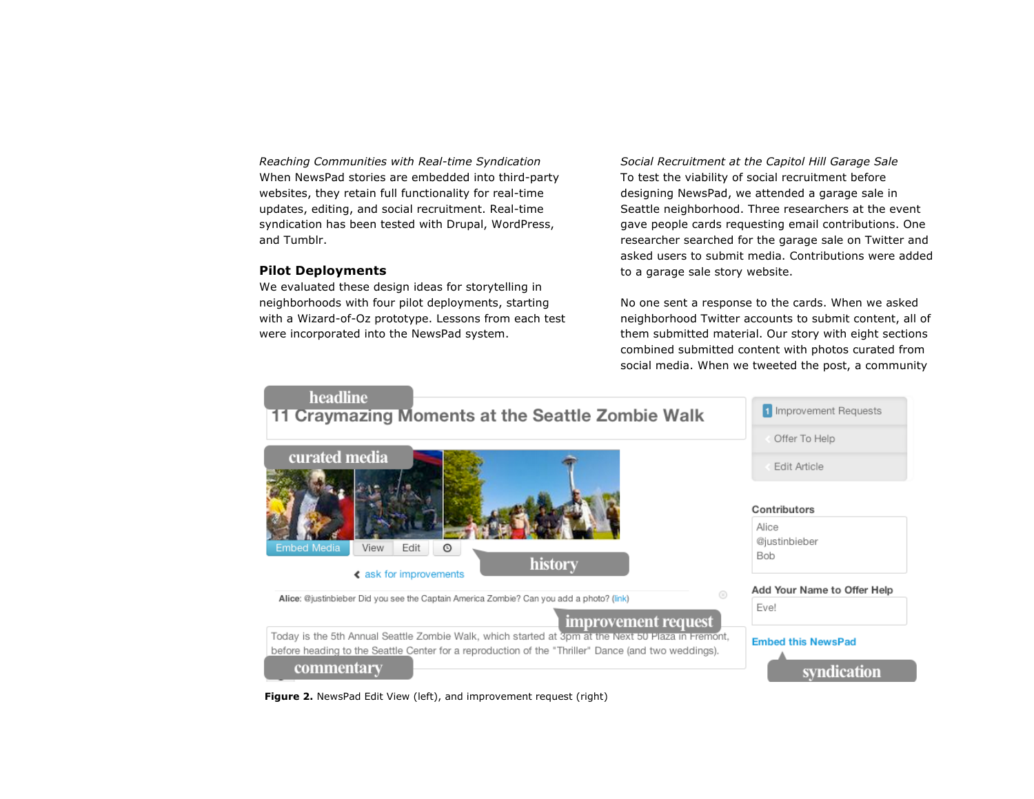*Reaching Communities with Real-time Syndication* When NewsPad stories are embedded into third-party websites, they retain full functionality for real-time updates, editing, and social recruitment. Real-time syndication has been tested with Drupal, WordPress, and Tumblr.

# **Pilot Deployments**

We evaluated these design ideas for storytelling in neighborhoods with four pilot deployments, starting with a Wizard-of-Oz prototype. Lessons from each test were incorporated into the NewsPad system.

*Social Recruitment at the Capitol Hill Garage Sale* To test the viability of social recruitment before designing NewsPad, we attended a garage sale in Seattle neighborhood. Three researchers at the event gave people cards requesting email contributions. One researcher searched for the garage sale on Twitter and asked users to submit media. Contributions were added to a garage sale story website.

No one sent a response to the cards. When we asked neighborhood Twitter accounts to submit content, all of them submitted material. Our story with eight sections combined submitted content with photos curated from social media. When we tweeted the post, a community



**Figure 2.** NewsPad Edit View (left), and improvement request (right)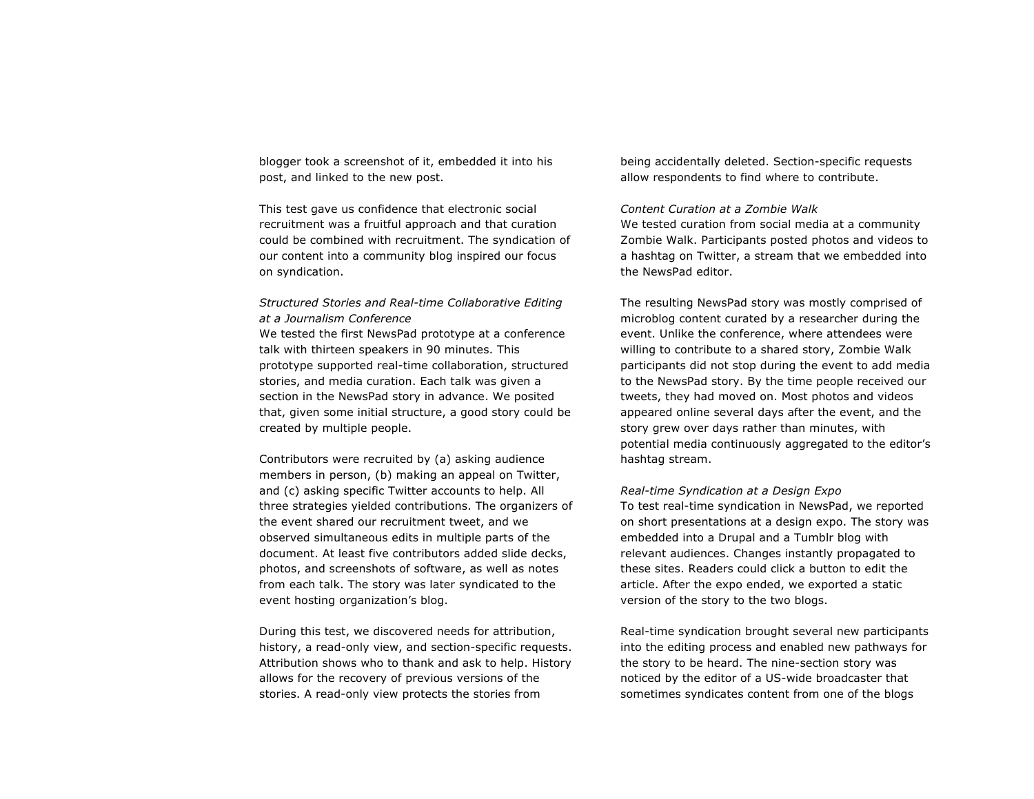blogger took a screenshot of it, embedded it into his post, and linked to the new post.

This test gave us confidence that electronic social recruitment was a fruitful approach and that curation could be combined with recruitment. The syndication of our content into a community blog inspired our focus on syndication.

*Structured Stories and Real-time Collaborative Editing at a Journalism Conference* We tested the first NewsPad prototype at a conference talk with thirteen speakers in 90 minutes. This prototype supported real-time collaboration, structured stories, and media curation. Each talk was given a section in the NewsPad story in advance. We posited that, given some initial structure, a good story could be created by multiple people.

Contributors were recruited by (a) asking audience members in person, (b) making an appeal on Twitter, and (c) asking specific Twitter accounts to help. All three strategies yielded contributions. The organizers of the event shared our recruitment tweet, and we observed simultaneous edits in multiple parts of the document. At least five contributors added slide decks, photos, and screenshots of software, as well as notes from each talk. The story was later syndicated to the event hosting organization's blog.

During this test, we discovered needs for attribution, history, a read-only view, and section-specific requests. Attribution shows who to thank and ask to help. History allows for the recovery of previous versions of the stories. A read-only view protects the stories from

being accidentally deleted. Section-specific requests allow respondents to find where to contribute.

# *Content Curation at a Zombie Walk*

We tested curation from social media at a community Zombie Walk. Participants posted photos and videos to a hashtag on Twitter, a stream that we embedded into the NewsPad editor.

The resulting NewsPad story was mostly comprised of microblog content curated by a researcher during the event. Unlike the conference, where attendees were willing to contribute to a shared story, Zombie Walk participants did not stop during the event to add media to the NewsPad story. By the time people received our tweets, they had moved on. Most photos and videos appeared online several days after the event, and the story grew over days rather than minutes, with potential media continuously aggregated to the editor's hashtag stream.

*Real-time Syndication at a Design Expo*

To test real-time syndication in NewsPad, we reported on short presentations at a design expo. The story was embedded into a Drupal and a Tumblr blog with relevant audiences. Changes instantly propagated to these sites. Readers could click a button to edit the article. After the expo ended, we exported a static version of the story to the two blogs.

Real-time syndication brought several new participants into the editing process and enabled new pathways for the story to be heard. The nine-section story was noticed by the editor of a US-wide broadcaster that sometimes syndicates content from one of the blogs